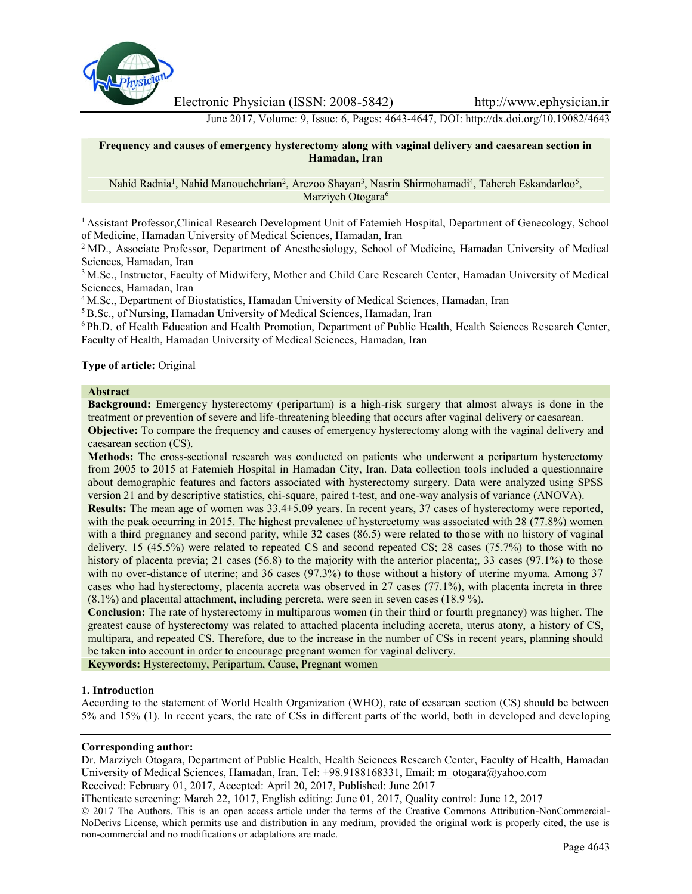

Electronic Physician (ISSN: 2008-5842) http://www.ephysician.ir

June 2017, Volume: 9, Issue: 6, Pages: 4643-4647, DOI: http://dx.doi.org/10.19082/4643

### **Frequency and causes of emergency hysterectomy along with vaginal delivery and caesarean section in Hamadan, Iran**

Nahid Radnia<sup>1</sup>, Nahid Manouchehrian<sup>2</sup>, Arezoo Shayan<sup>3</sup>, Nasrin Shirmohamadi<sup>4</sup>, Tahereh Eskandarloo<sup>5</sup>, Marziyeh Otogara<sup>6</sup>

<sup>1</sup> Assistant Professor,Clinical Research Development Unit of Fatemieh Hospital, Department of Genecology, School of Medicine, Hamadan University of Medical Sciences, Hamadan, Iran

<sup>2</sup> MD., Associate Professor, Department of Anesthesiology, School of Medicine, Hamadan University of Medical Sciences, Hamadan, Iran

<sup>3</sup> M.Sc., Instructor, Faculty of Midwifery, Mother and Child Care Research Center, Hamadan University of Medical Sciences, Hamadan, Iran

<sup>4</sup> M.Sc., Department of Biostatistics, Hamadan University of Medical Sciences, Hamadan, Iran

<sup>5</sup> B.Sc., of Nursing, Hamadan University of Medical Sciences, Hamadan, Iran

<sup>6</sup> Ph.D. of Health Education and Health Promotion, Department of Public Health, Health Sciences Research Center, Faculty of Health, Hamadan University of Medical Sciences, Hamadan, Iran

# **Type of article:** Original

# **Abstract**

**Background:** Emergency hysterectomy (peripartum) is a high-risk surgery that almost always is done in the treatment or prevention of severe and life-threatening bleeding that occurs after vaginal delivery or caesarean. **Objective:** To compare the frequency and causes of emergency hysterectomy along with the vaginal delivery and caesarean section (CS).

**Methods:** The cross-sectional research was conducted on patients who underwent a peripartum hysterectomy from 2005 to 2015 at Fatemieh Hospital in Hamadan City, Iran. Data collection tools included a questionnaire about demographic features and factors associated with hysterectomy surgery. Data were analyzed using SPSS version 21 and by descriptive statistics, chi-square, paired t-test, and one-way analysis of variance (ANOVA).

**Results:** The mean age of women was 33.4±5.09 years. In recent years, 37 cases of hysterectomy were reported, with the peak occurring in 2015. The highest prevalence of hysterectomy was associated with 28 (77.8%) women with a third pregnancy and second parity, while 32 cases (86.5) were related to those with no history of vaginal delivery, 15 (45.5%) were related to repeated CS and second repeated CS; 28 cases (75.7%) to those with no history of placenta previa; 21 cases (56.8) to the majority with the anterior placenta;, 33 cases (97.1%) to those with no over-distance of uterine; and 36 cases (97.3%) to those without a history of uterine myoma. Among 37 cases who had hysterectomy, placenta accreta was observed in 27 cases (77.1%), with placenta increta in three (8.1%) and placental attachment, including percreta, were seen in seven cases (18.9 %).

**Conclusion:** The rate of hysterectomy in multiparous women (in their third or fourth pregnancy) was higher. The greatest cause of hysterectomy was related to attached placenta including accreta, uterus atony, a history of CS, multipara, and repeated CS. Therefore, due to the increase in the number of CSs in recent years, planning should be taken into account in order to encourage pregnant women for vaginal delivery.

**Keywords:** Hysterectomy, Peripartum, Cause, Pregnant women

### **1. Introduction**

According to the statement of World Health Organization (WHO), rate of cesarean section (CS) should be between 5% and 15% (1). In recent years, the rate of CSs in different parts of the world, both in developed and developing

### **Corresponding author:**

Dr. Marziyeh Otogara, Department of Public Health, Health Sciences Research Center, Faculty of Health, Hamadan University of Medical Sciences, Hamadan, Iran. Tel: +98.9188168331, Email: m\_otogara@yahoo.com

Received: February 01, 2017, Accepted: April 20, 2017, Published: June 2017

iThenticate screening: March 22, 1017, English editing: June 01, 2017, Quality control: June 12, 2017

© 2017 The Authors. This is an open access article under the terms of the Creative Commons Attribution-NonCommercial- NoDerivs License, which permits use and distribution in any medium, provided the original work is properly cited, the use is non-commercial and no modifications or adaptations are made.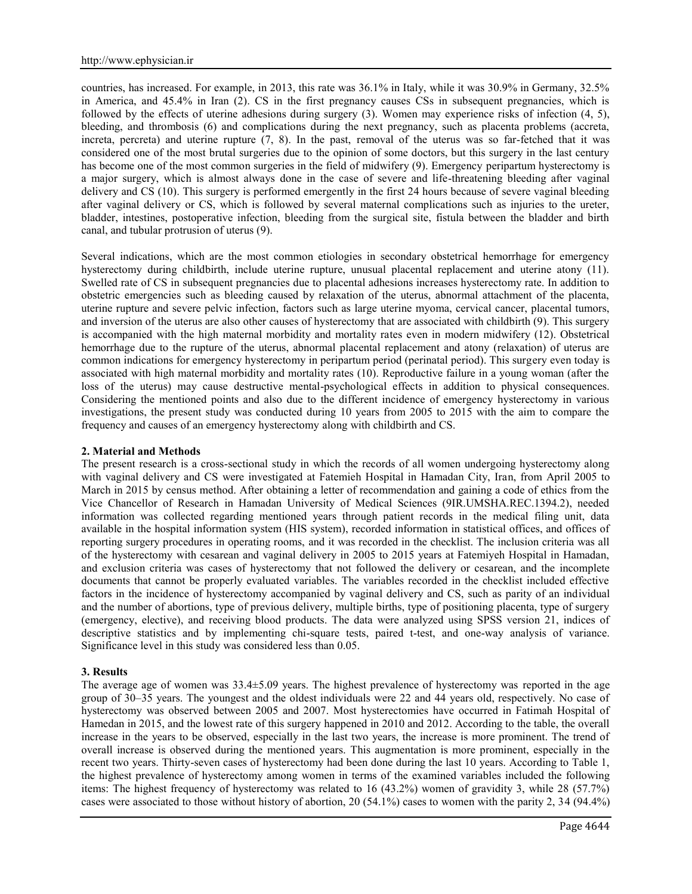countries, has increased. For example, in 2013, this rate was 36.1% in Italy, while it was 30.9% in Germany, 32.5% in America, and 45.4% in Iran (2). CS in the first pregnancy causes CSs in subsequent pregnancies, which is followed by the effects of uterine adhesions during surgery (3). Women may experience risks of infection (4, 5), bleeding, and thrombosis (6) and complications during the next pregnancy, such as placenta problems (accreta, increta, percreta) and uterine rupture (7, 8). In the past, removal of the uterus was so far-fetched that it was considered one of the most brutal surgeries due to the opinion of some doctors, but this surgery in the last century has become one of the most common surgeries in the field of midwifery (9). Emergency peripartum hysterectomy is a major surgery, which is almost always done in the case of severe and life-threatening bleeding after vaginal delivery and CS (10). This surgery is performed emergently in the first 24 hours because of severe vaginal bleeding after vaginal delivery or CS, which is followed by several maternal complications such as injuries to the ureter, bladder, intestines, postoperative infection, bleeding from the surgical site, fistula between the bladder and birth canal, and tubular protrusion of uterus (9).

Several indications, which are the most common etiologies in secondary obstetrical hemorrhage for emergency hysterectomy during childbirth, include uterine rupture, unusual placental replacement and uterine atony (11). Swelled rate of CS in subsequent pregnancies due to placental adhesions increases hysterectomy rate. In addition to obstetric emergencies such as bleeding caused by relaxation of the uterus, abnormal attachment of the placenta, uterine rupture and severe pelvic infection, factors such as large uterine myoma, cervical cancer, placental tumors, and inversion of the uterus are also other causes of hysterectomy that are associated with childbirth (9). This surgery is accompanied with the high maternal morbidity and mortality rates even in modern midwifery (12). Obstetrical hemorrhage due to the rupture of the uterus, abnormal placental replacement and atony (relaxation) of uterus are common indications for emergency hysterectomy in peripartum period (perinatal period). This surgery even today is associated with high maternal morbidity and mortality rates (10). Reproductive failure in a young woman (after the loss of the uterus) may cause destructive mental-psychological effects in addition to physical consequences. Considering the mentioned points and also due to the different incidence of emergency hysterectomy in various investigations, the present study was conducted during 10 years from 2005 to 2015 with the aim to compare the frequency and causes of an emergency hysterectomy along with childbirth and CS.

## **2. Material and Methods**

The present research is a cross-sectional study in which the records of all women undergoing hysterectomy along with vaginal delivery and CS were investigated at Fatemieh Hospital in Hamadan City, Iran, from April 2005 to March in 2015 by census method. After obtaining a letter of recommendation and gaining a code of ethics from the Vice Chancellor of Research in Hamadan University of Medical Sciences (9IR.UMSHA.REC.1394.2), needed information was collected regarding mentioned years through patient records in the medical filing unit, data available in the hospital information system (HIS system), recorded information in statistical offices, and offices of reporting surgery procedures in operating rooms, and it was recorded in the checklist. The inclusion criteria was all of the hysterectomy with cesarean and vaginal delivery in 2005 to 2015 years at Fatemiyeh Hospital in Hamadan, and exclusion criteria was cases of hysterectomy that not followed the delivery or cesarean, and the incomplete documents that cannot be properly evaluated variables. The variables recorded in the checklist included effective factors in the incidence of hysterectomy accompanied by vaginal delivery and CS, such as parity of an individual and the number of abortions, type of previous delivery, multiple births, type of positioning placenta, type of surgery (emergency, elective), and receiving blood products. The data were analyzed using SPSS version 21, indices of descriptive statistics and by implementing chi-square tests, paired t-test, and one-way analysis of variance. Significance level in this study was considered less than 0.05.

### **3. Results**

The average age of women was 33.4±5.09 years. The highest prevalence of hysterectomy was reported in the age group of 30–35 years. The youngest and the oldest individuals were 22 and 44 years old, respectively. No case of hysterectomy was observed between 2005 and 2007. Most hysterectomies have occurred in Fatimah Hospital of Hamedan in 2015, and the lowest rate of this surgery happened in 2010 and 2012. According to the table, the overall increase in the years to be observed, especially in the last two years, the increase is more prominent. The trend of overall increase is observed during the mentioned years. This augmentation is more prominent, especially in the recent two years. Thirty-seven cases of hysterectomy had been done during the last 10 years. According to Table 1, the highest prevalence of hysterectomy among women in terms of the examined variables included the following items: The highest frequency of hysterectomy was related to 16 (43.2%) women of gravidity 3, while 28 (57.7%) cases were associated to those without history of abortion, 20 (54.1%) cases to women with the parity 2, 34 (94.4%)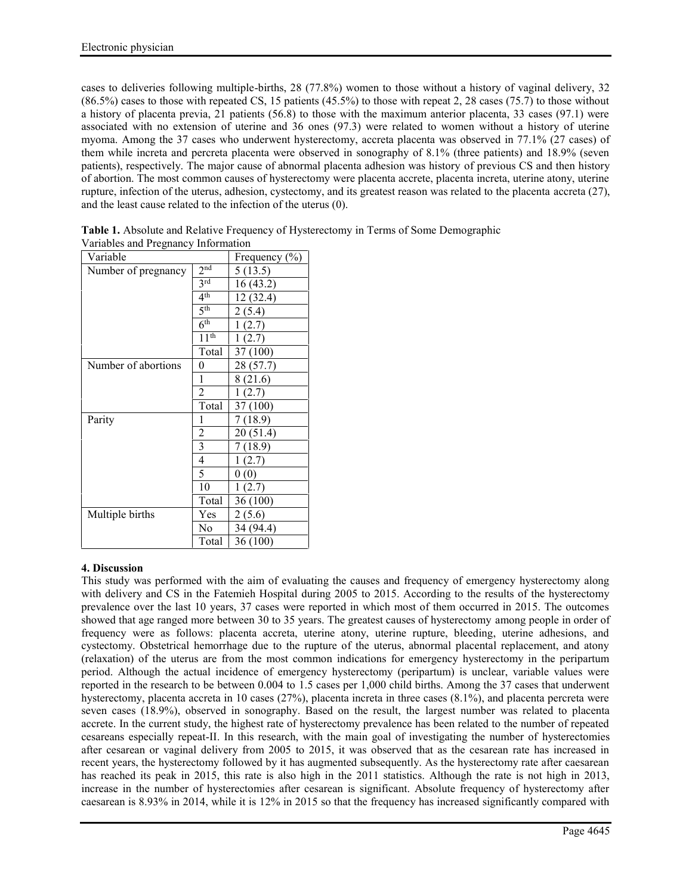cases to deliveries following multiple-births, 28 (77.8%) women to those without a history of vaginal delivery, 32  $(86.5\%)$  cases to those with repeated CS, 15 patients  $(45.5\%)$  to those with repeat 2, 28 cases (75.7) to those without a history of placenta previa, 21 patients (56.8) to those with the maximum anterior placenta, 33 cases (97.1) were associated with no extension of uterine and 36 ones (97.3) were related to women without a history of uterine myoma. Among the 37 cases who underwent hysterectomy, accreta placenta was observed in 77.1% (27 cases) of them while increta and percreta placenta were observed in sonography of 8.1% (three patients) and 18.9% (seven patients), respectively. The major cause of abnormal placenta adhesion was history of previous CS and then history of abortion. The most common causes of hysterectomy were placenta accrete, placenta increta, uterine atony, uterine rupture, infection of the uterus, adhesion, cystectomy, and its greatest reason was related to the placenta accreta (27), and the least cause related to the infection of the uterus (0).

| Variable            |                      | Frequency $(\% )$ |
|---------------------|----------------------|-------------------|
| Number of pregnancy | 2 <sup>nd</sup>      | 5(13.5)           |
|                     | 3 <sup>rd</sup>      | 16(43.2)          |
|                     | 4 <sup>th</sup>      | 12(32.4)          |
|                     | 5 <sup>th</sup>      | 2(5.4)            |
|                     | 6 <sup>th</sup>      | 1(2.7)            |
|                     | $11^{\overline{th}}$ | 1(2.7)            |
|                     | Total                | 37 (100)          |
| Number of abortions | 0                    | 28 (57.7)         |
|                     | 1                    | 8 (21.6)          |
|                     | $\overline{c}$       | 1(2.7)            |
|                     | Total                | 37 (100)          |
| Parity              | 1                    | 7(18.9)           |
|                     | 2                    | 20(51.4)          |
|                     | $\mathfrak{Z}$       | 7(18.9)           |
|                     | 4                    | 1(2.7)            |
|                     | 5                    | 0(0)              |
|                     | 10                   | 1(2.7)            |
|                     | Total                | 36 (100)          |
| Multiple births     | Yes                  | 2(5.6)            |
|                     | No                   | 34 (94.4)         |
|                     | Total                | 36 (100)          |

**Table 1.** Absolute and Relative Frequency of Hysterectomy in Terms of Some Demographic Variables and Pregnancy Information

# **4. Discussion**

This study was performed with the aim of evaluating the causes and frequency of emergency hysterectomy along with delivery and CS in the Fatemieh Hospital during 2005 to 2015. According to the results of the hysterectomy prevalence over the last 10 years, 37 cases were reported in which most of them occurred in 2015. The outcomes showed that age ranged more between 30 to 35 years. The greatest causes of hysterectomy among people in order of frequency were as follows: placenta accreta, uterine atony, uterine rupture, bleeding, uterine adhesions, and cystectomy. Obstetrical hemorrhage due to the rupture of the uterus, abnormal placental replacement, and atony (relaxation) of the uterus are from the most common indications for emergency hysterectomy in the peripartum period. Although the actual incidence of emergency hysterectomy (peripartum) is unclear, variable values were reported in the research to be between 0.004 to 1.5 cases per 1,000 child births. Among the 37 cases that underwent hysterectomy, placenta accreta in 10 cases (27%), placenta increta in three cases (8.1%), and placenta percreta were seven cases (18.9%), observed in sonography. Based on the result, the largest number was related to placenta accrete. In the current study, the highest rate of hysterectomy prevalence has been related to the number of repeated cesareans especially repeat-II. In this research, with the main goal of investigating the number of hysterectomies after cesarean or vaginal delivery from 2005 to 2015, it was observed that as the cesarean rate has increased in recent years, the hysterectomy followed by it has augmented subsequently. As the hysterectomy rate after caesarean has reached its peak in 2015, this rate is also high in the 2011 statistics. Although the rate is not high in 2013, increase in the number of hysterectomies after cesarean is significant. Absolute frequency of hysterectomy after caesarean is 8.93% in 2014, while it is 12% in 2015 so that the frequency has increased significantly compared with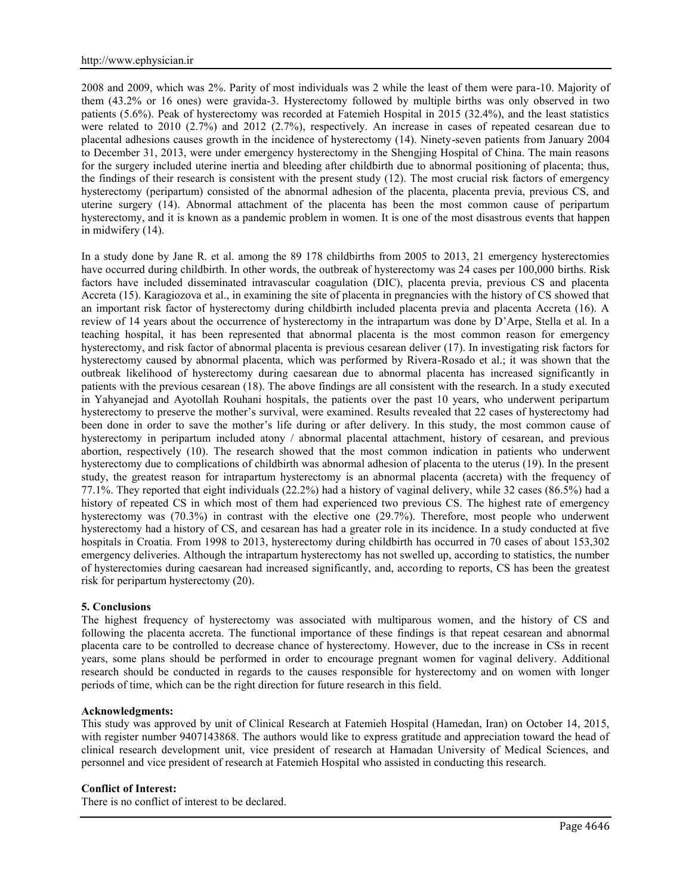2008 and 2009, which was 2%. Parity of most individuals was 2 while the least of them were para-10. Majority of them (43.2% or 16 ones) were gravida-3. Hysterectomy followed by multiple births was only observed in two patients (5.6%). Peak of hysterectomy was recorded at Fatemieh Hospital in 2015 (32.4%), and the least statistics were related to 2010 (2.7%) and 2012 (2.7%), respectively. An increase in cases of repeated cesarean due to placental adhesions causes growth in the incidence of hysterectomy (14). Ninety-seven patients from January 2004 to December 31, 2013, were under emergency hysterectomy in the Shengjing Hospital of China. The main reasons for the surgery included uterine inertia and bleeding after childbirth due to abnormal positioning of placenta; thus, the findings of their research is consistent with the present study (12). The most crucial risk factors of emergency hysterectomy (peripartum) consisted of the abnormal adhesion of the placenta, placenta previa, previous CS, and uterine surgery (14). Abnormal attachment of the placenta has been the most common cause of peripartum hysterectomy, and it is known as a pandemic problem in women. It is one of the most disastrous events that happen in midwifery (14).

In a study done by Jane R. et al. among the 89 178 childbirths from 2005 to 2013, 21 emergency hysterectomies have occurred during childbirth. In other words, the outbreak of hysterectomy was 24 cases per 100,000 births. Risk factors have included disseminated intravascular coagulation (DIC), placenta previa, previous CS and placenta Accreta (15). Karagiozova et al., in examining the site of placenta in pregnancies with the history of CS showed that an important risk factor of hysterectomy during childbirth included placenta previa and placenta Accreta (16). A review of 14 years about the occurrence of hysterectomy in the intrapartum was done by D'Arpe, Stella et al. In a teaching hospital, it has been represented that abnormal placenta is the most common reason for emergency hysterectomy, and risk factor of abnormal placenta is previous cesarean deliver (17). In investigating risk factors for hysterectomy caused by abnormal placenta, which was performed by Rivera-Rosado et al.; it was shown that the outbreak likelihood of hysterectomy during caesarean due to abnormal placenta has increased significantly in patients with the previous cesarean (18). The above findings are all consistent with the research. In a study executed in Yahyanejad and Ayotollah Rouhani hospitals, the patients over the past 10 years, who underwent peripartum hysterectomy to preserve the mother's survival, were examined. Results revealed that 22 cases of hysterectomy had been done in order to save the mother's life during or after delivery. In this study, the most common cause of hysterectomy in peripartum included atony / abnormal placental attachment, history of cesarean, and previous abortion, respectively (10). The research showed that the most common indication in patients who underwent hysterectomy due to complications of childbirth was abnormal adhesion of placenta to the uterus (19). In the present study, the greatest reason for intrapartum hysterectomy is an abnormal placenta (accreta) with the frequency of 77.1%. They reported that eight individuals (22.2%) had a history of vaginal delivery, while 32 cases (86.5%) had a history of repeated CS in which most of them had experienced two previous CS. The highest rate of emergency hysterectomy was (70.3%) in contrast with the elective one (29.7%). Therefore, most people who underwent hysterectomy had a history of CS, and cesarean has had a greater role in its incidence. In a study conducted at five hospitals in Croatia. From 1998 to 2013, hysterectomy during childbirth has occurred in 70 cases of about 153,302 emergency deliveries. Although the intrapartum hysterectomy has not swelled up, according to statistics, the number of hysterectomies during caesarean had increased significantly, and, according to reports, CS has been the greatest risk for peripartum hysterectomy (20).

### **5. Conclusions**

The highest frequency of hysterectomy was associated with multiparous women, and the history of CS and following the placenta accreta. The functional importance of these findings is that repeat cesarean and abnormal placenta care to be controlled to decrease chance of hysterectomy. However, due to the increase in CSs in recent years, some plans should be performed in order to encourage pregnant women for vaginal delivery. Additional research should be conducted in regards to the causes responsible for hysterectomy and on women with longer periods of time, which can be the right direction for future research in this field.

### **Acknowledgments:**

This study was approved by unit of Clinical Research at Fatemieh Hospital (Hamedan, Iran) on October 14, 2015, with register number 9407143868. The authors would like to express gratitude and appreciation toward the head of clinical research development unit, vice president of research at Hamadan University of Medical Sciences, and personnel and vice president of research at Fatemieh Hospital who assisted in conducting this research.

### **Conflict of Interest:**

There is no conflict of interest to be declared.